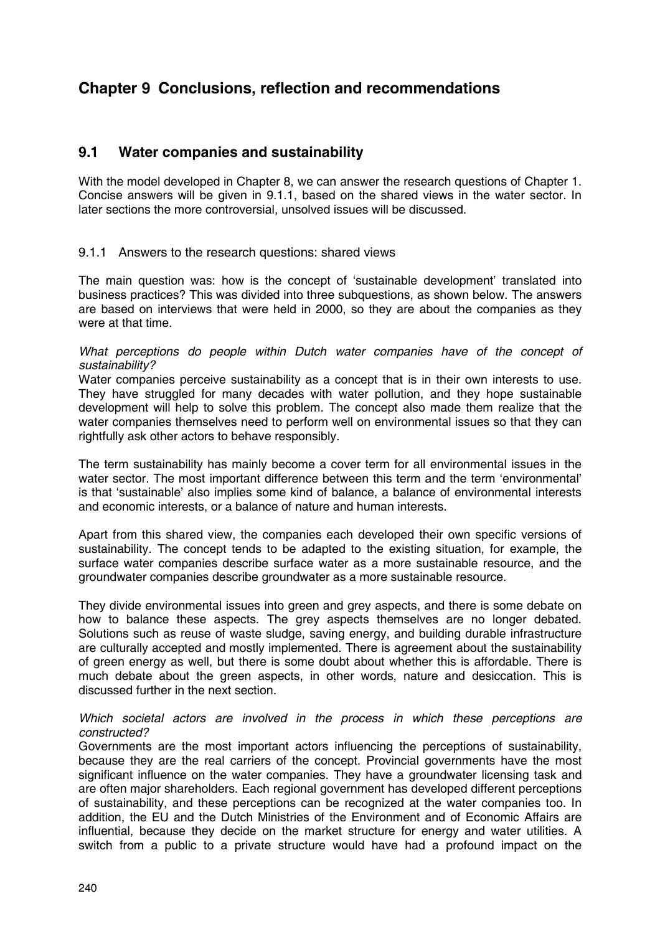# **Chapter 9 Conclusions, reflection and recommendations**

# **9.1 Water companies and sustainability**

With the model developed in Chapter 8, we can answer the research questions of Chapter 1. Concise answers will be given in 9.1.1, based on the shared views in the water sector. In later sections the more controversial, unsolved issues will be discussed.

### 9.1.1 Answers to the research questions: shared views

The main question was: how is the concept of 'sustainable development' translated into business practices? This was divided into three subquestions, as shown below. The answers are based on interviews that were held in 2000, so they are about the companies as they were at that time.

#### *What perceptions do people within Dutch water companies have of the concept of sustainability?*

Water companies perceive sustainability as a concept that is in their own interests to use. They have struggled for many decades with water pollution, and they hope sustainable development will help to solve this problem. The concept also made them realize that the water companies themselves need to perform well on environmental issues so that they can rightfully ask other actors to behave responsibly.

The term sustainability has mainly become a cover term for all environmental issues in the water sector. The most important difference between this term and the term 'environmental' is that 'sustainable' also implies some kind of balance, a balance of environmental interests and economic interests, or a balance of nature and human interests.

Apart from this shared view, the companies each developed their own specific versions of sustainability. The concept tends to be adapted to the existing situation, for example, the surface water companies describe surface water as a more sustainable resource, and the groundwater companies describe groundwater as a more sustainable resource.

They divide environmental issues into green and grey aspects, and there is some debate on how to balance these aspects. The grey aspects themselves are no longer debated. Solutions such as reuse of waste sludge, saving energy, and building durable infrastructure are culturally accepted and mostly implemented. There is agreement about the sustainability of green energy as well, but there is some doubt about whether this is affordable. There is much debate about the green aspects, in other words, nature and desiccation. This is discussed further in the next section.

### *Which societal actors are involved in the process in which these perceptions are constructed?*

Governments are the most important actors influencing the perceptions of sustainability, because they are the real carriers of the concept. Provincial governments have the most significant influence on the water companies. They have a groundwater licensing task and are often major shareholders. Each regional government has developed different perceptions of sustainability, and these perceptions can be recognized at the water companies too. In addition, the EU and the Dutch Ministries of the Environment and of Economic Affairs are influential, because they decide on the market structure for energy and water utilities. A switch from a public to a private structure would have had a profound impact on the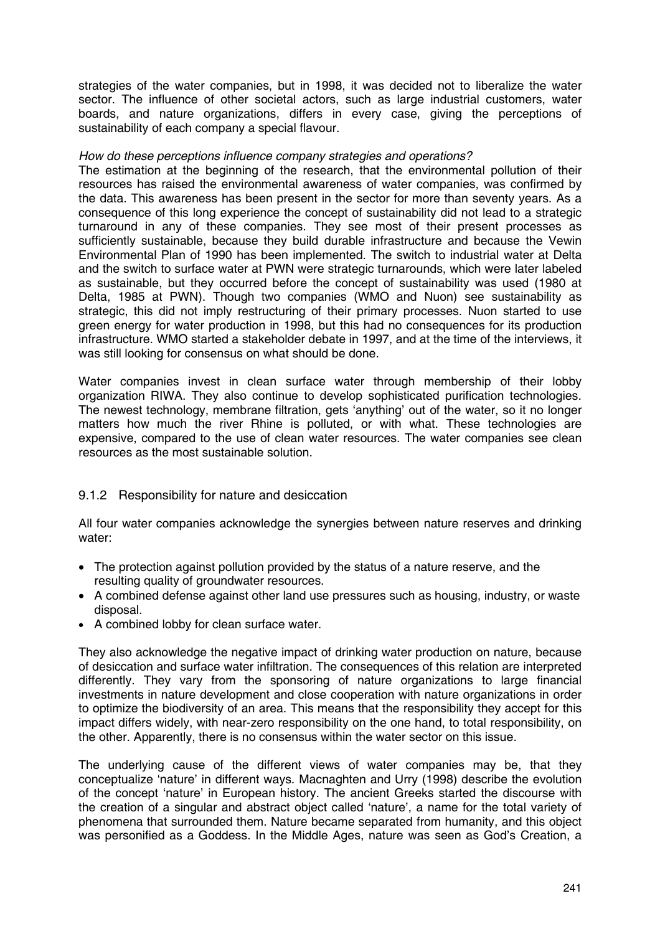strategies of the water companies, but in 1998, it was decided not to liberalize the water sector. The influence of other societal actors, such as large industrial customers, water boards, and nature organizations, differs in every case, giving the perceptions of sustainability of each company a special flavour.

#### *How do these perceptions influence company strategies and operations?*

The estimation at the beginning of the research, that the environmental pollution of their resources has raised the environmental awareness of water companies, was confirmed by the data. This awareness has been present in the sector for more than seventy years. As a consequence of this long experience the concept of sustainability did not lead to a strategic turnaround in any of these companies. They see most of their present processes as sufficiently sustainable, because they build durable infrastructure and because the Vewin Environmental Plan of 1990 has been implemented. The switch to industrial water at Delta and the switch to surface water at PWN were strategic turnarounds, which were later labeled as sustainable, but they occurred before the concept of sustainability was used (1980 at Delta, 1985 at PWN). Though two companies (WMO and Nuon) see sustainability as strategic, this did not imply restructuring of their primary processes. Nuon started to use green energy for water production in 1998, but this had no consequences for its production infrastructure. WMO started a stakeholder debate in 1997, and at the time of the interviews, it was still looking for consensus on what should be done.

Water companies invest in clean surface water through membership of their lobby organization RIWA. They also continue to develop sophisticated purification technologies. The newest technology, membrane filtration, gets 'anything' out of the water, so it no longer matters how much the river Rhine is polluted, or with what. These technologies are expensive, compared to the use of clean water resources. The water companies see clean resources as the most sustainable solution.

## 9.1.2 Responsibility for nature and desiccation

All four water companies acknowledge the synergies between nature reserves and drinking water:

- The protection against pollution provided by the status of a nature reserve, and the resulting quality of groundwater resources.
- A combined defense against other land use pressures such as housing, industry, or waste disposal.
- A combined lobby for clean surface water.

They also acknowledge the negative impact of drinking water production on nature, because of desiccation and surface water infiltration. The consequences of this relation are interpreted differently. They vary from the sponsoring of nature organizations to large financial investments in nature development and close cooperation with nature organizations in order to optimize the biodiversity of an area. This means that the responsibility they accept for this impact differs widely, with near-zero responsibility on the one hand, to total responsibility, on the other. Apparently, there is no consensus within the water sector on this issue.

The underlying cause of the different views of water companies may be, that they conceptualize 'nature' in different ways. Macnaghten and Urry (1998) describe the evolution of the concept 'nature' in European history. The ancient Greeks started the discourse with the creation of a singular and abstract object called 'nature', a name for the total variety of phenomena that surrounded them. Nature became separated from humanity, and this object was personified as a Goddess. In the Middle Ages, nature was seen as God's Creation, a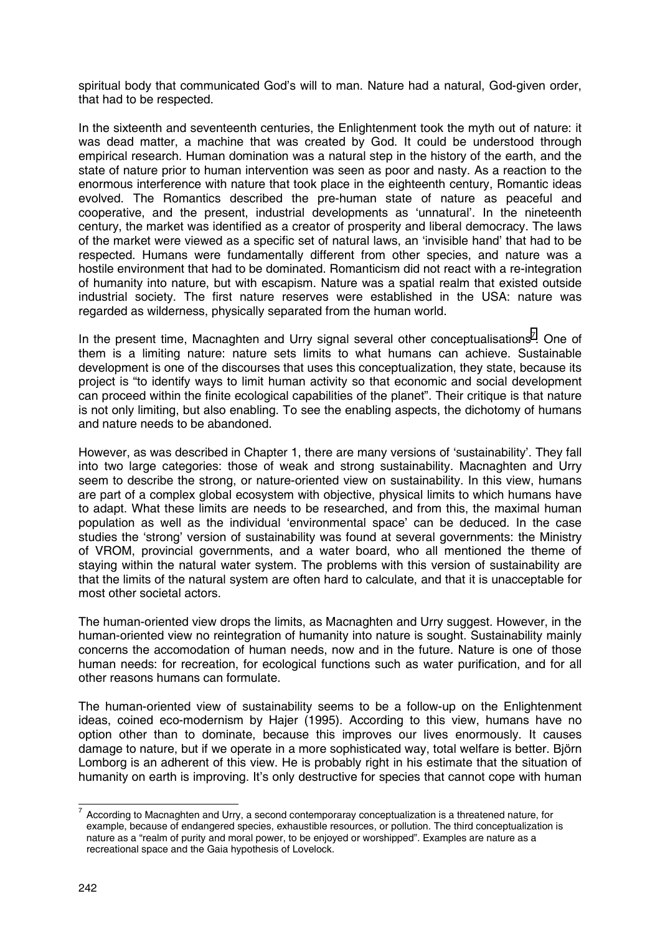spiritual body that communicated God's will to man. Nature had a natural, God-given order, that had to be respected.

In the sixteenth and seventeenth centuries, the Enlightenment took the myth out of nature: it was dead matter, a machine that was created by God. It could be understood through empirical research. Human domination was a natural step in the history of the earth, and the state of nature prior to human intervention was seen as poor and nasty. As a reaction to the enormous interference with nature that took place in the eighteenth century, Romantic ideas evolved. The Romantics described the pre-human state of nature as peaceful and cooperative, and the present, industrial developments as 'unnatural'. In the nineteenth century, the market was identified as a creator of prosperity and liberal democracy. The laws of the market were viewed as a specific set of natural laws, an 'invisible hand' that had to be respected. Humans were fundamentally different from other species, and nature was a hostile environment that had to be dominated. Romanticism did not react with a re-integration of humanity into nature, but with escapism. Nature was a spatial realm that existed outside industrial society. The first nature reserves were established in the USA: nature was regarded as wilderness, physically separated from the human world.

In the present time, Macnaghten and Urry signal several other conceptualisations<sup>7</sup>. One of them is a limiting nature: nature sets limits to what humans can achieve. Sustainable development is one of the discourses that uses this conceptualization, they state, because its project is "to identify ways to limit human activity so that economic and social development can proceed within the finite ecological capabilities of the planet". Their critique is that nature is not only limiting, but also enabling. To see the enabling aspects, the dichotomy of humans and nature needs to be abandoned.

However, as was described in Chapter 1, there are many versions of 'sustainability'. They fall into two large categories: those of weak and strong sustainability. Macnaghten and Urry seem to describe the strong, or nature-oriented view on sustainability. In this view, humans are part of a complex global ecosystem with objective, physical limits to which humans have to adapt. What these limits are needs to be researched, and from this, the maximal human population as well as the individual 'environmental space' can be deduced. In the case studies the 'strong' version of sustainability was found at several governments: the Ministry of VROM, provincial governments, and a water board, who all mentioned the theme of staying within the natural water system. The problems with this version of sustainability are that the limits of the natural system are often hard to calculate, and that it is unacceptable for most other societal actors.

The human-oriented view drops the limits, as Macnaghten and Urry suggest. However, in the human-oriented view no reintegration of humanity into nature is sought. Sustainability mainly concerns the accomodation of human needs, now and in the future. Nature is one of those human needs: for recreation, for ecological functions such as water purification, and for all other reasons humans can formulate.

The human-oriented view of sustainability seems to be a follow-up on the Enlightenment ideas, coined eco-modernism by Hajer (1995). According to this view, humans have no option other than to dominate, because this improves our lives enormously. It causes damage to nature, but if we operate in a more sophisticated way, total welfare is better. Björn Lomborg is an adherent of this view. He is probably right in his estimate that the situation of humanity on earth is improving. It's only destructive for species that cannot cope with human

 7 According to Macnaghten and Urry, a second contemporaray conceptualization is a threatened nature, for example, because of endangered species, exhaustible resources, or pollution. The third conceptualization is nature as a "realm of purity and moral power, to be enjoyed or worshipped". Examples are nature as a recreational space and the Gaia hypothesis of Lovelock.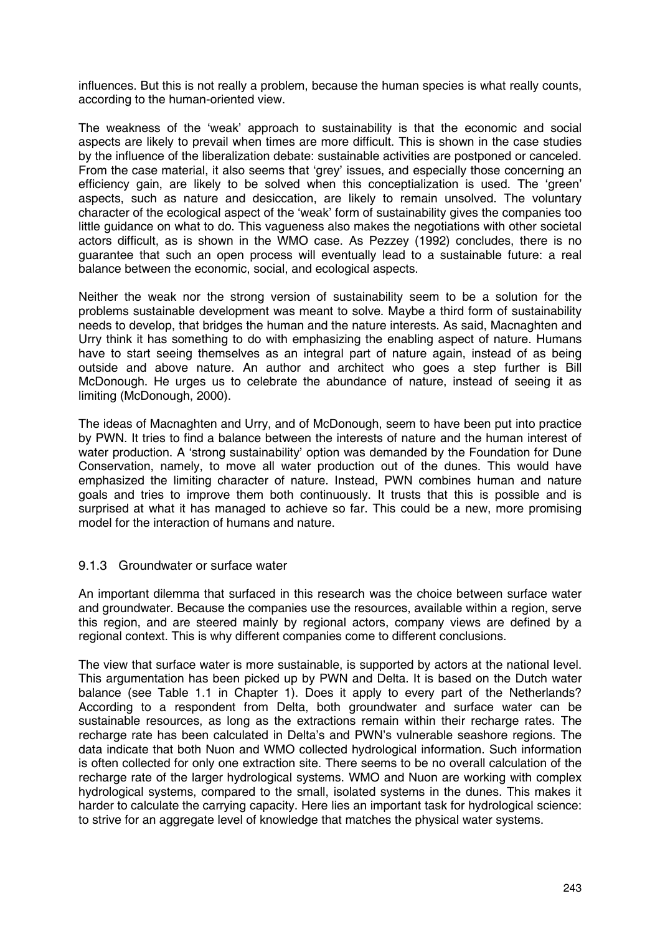influences. But this is not really a problem, because the human species is what really counts, according to the human-oriented view.

The weakness of the 'weak' approach to sustainability is that the economic and social aspects are likely to prevail when times are more difficult. This is shown in the case studies by the influence of the liberalization debate: sustainable activities are postponed or canceled. From the case material, it also seems that 'grey' issues, and especially those concerning an efficiency gain, are likely to be solved when this conceptialization is used. The 'green' aspects, such as nature and desiccation, are likely to remain unsolved. The voluntary character of the ecological aspect of the 'weak' form of sustainability gives the companies too little guidance on what to do. This vagueness also makes the negotiations with other societal actors difficult, as is shown in the WMO case. As Pezzey (1992) concludes, there is no guarantee that such an open process will eventually lead to a sustainable future: a real balance between the economic, social, and ecological aspects.

Neither the weak nor the strong version of sustainability seem to be a solution for the problems sustainable development was meant to solve. Maybe a third form of sustainability needs to develop, that bridges the human and the nature interests. As said, Macnaghten and Urry think it has something to do with emphasizing the enabling aspect of nature. Humans have to start seeing themselves as an integral part of nature again, instead of as being outside and above nature. An author and architect who goes a step further is Bill McDonough. He urges us to celebrate the abundance of nature, instead of seeing it as limiting (McDonough, 2000).

The ideas of Macnaghten and Urry, and of McDonough, seem to have been put into practice by PWN. It tries to find a balance between the interests of nature and the human interest of water production. A 'strong sustainability' option was demanded by the Foundation for Dune Conservation, namely, to move all water production out of the dunes. This would have emphasized the limiting character of nature. Instead, PWN combines human and nature goals and tries to improve them both continuously. It trusts that this is possible and is surprised at what it has managed to achieve so far. This could be a new, more promising model for the interaction of humans and nature.

## 9.1.3 Groundwater or surface water

An important dilemma that surfaced in this research was the choice between surface water and groundwater. Because the companies use the resources, available within a region, serve this region, and are steered mainly by regional actors, company views are defined by a regional context. This is why different companies come to different conclusions.

The view that surface water is more sustainable, is supported by actors at the national level. This argumentation has been picked up by PWN and Delta. It is based on the Dutch water balance (see Table 1.1 in Chapter 1). Does it apply to every part of the Netherlands? According to a respondent from Delta, both groundwater and surface water can be sustainable resources, as long as the extractions remain within their recharge rates. The recharge rate has been calculated in Delta's and PWN's vulnerable seashore regions. The data indicate that both Nuon and WMO collected hydrological information. Such information is often collected for only one extraction site. There seems to be no overall calculation of the recharge rate of the larger hydrological systems. WMO and Nuon are working with complex hydrological systems, compared to the small, isolated systems in the dunes. This makes it harder to calculate the carrying capacity. Here lies an important task for hydrological science: to strive for an aggregate level of knowledge that matches the physical water systems.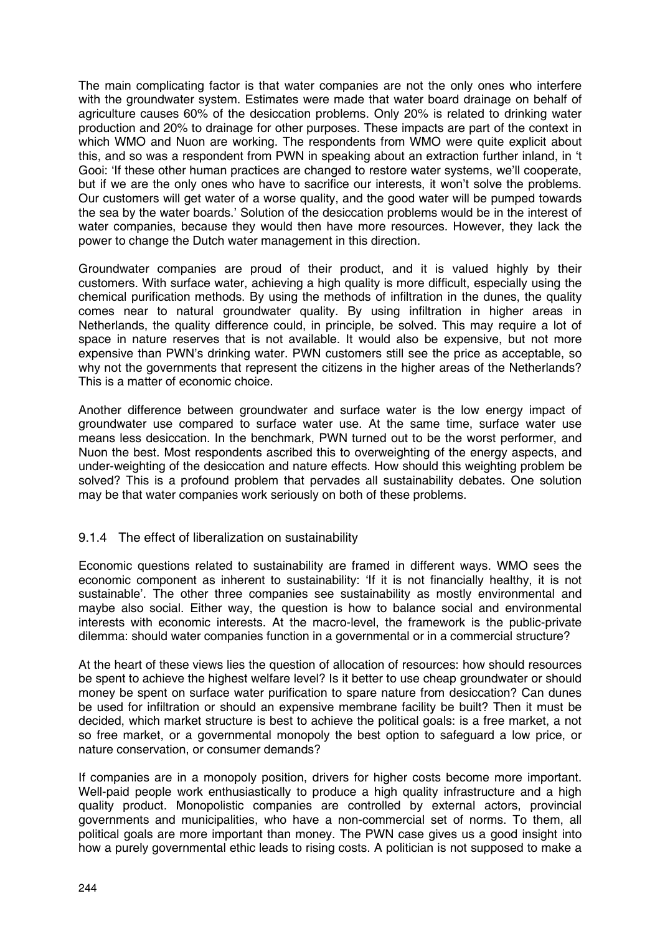The main complicating factor is that water companies are not the only ones who interfere with the groundwater system. Estimates were made that water board drainage on behalf of agriculture causes 60% of the desiccation problems. Only 20% is related to drinking water production and 20% to drainage for other purposes. These impacts are part of the context in which WMO and Nuon are working. The respondents from WMO were quite explicit about this, and so was a respondent from PWN in speaking about an extraction further inland, in 't Gooi: 'If these other human practices are changed to restore water systems, we'll cooperate, but if we are the only ones who have to sacrifice our interests, it won't solve the problems. Our customers will get water of a worse quality, and the good water will be pumped towards the sea by the water boards.' Solution of the desiccation problems would be in the interest of water companies, because they would then have more resources. However, they lack the power to change the Dutch water management in this direction.

Groundwater companies are proud of their product, and it is valued highly by their customers. With surface water, achieving a high quality is more difficult, especially using the chemical purification methods. By using the methods of infiltration in the dunes, the quality comes near to natural groundwater quality. By using infiltration in higher areas in Netherlands, the quality difference could, in principle, be solved. This may require a lot of space in nature reserves that is not available. It would also be expensive, but not more expensive than PWN's drinking water. PWN customers still see the price as acceptable, so why not the governments that represent the citizens in the higher areas of the Netherlands? This is a matter of economic choice.

Another difference between groundwater and surface water is the low energy impact of groundwater use compared to surface water use. At the same time, surface water use means less desiccation. In the benchmark, PWN turned out to be the worst performer, and Nuon the best. Most respondents ascribed this to overweighting of the energy aspects, and under-weighting of the desiccation and nature effects. How should this weighting problem be solved? This is a profound problem that pervades all sustainability debates. One solution may be that water companies work seriously on both of these problems.

## 9.1.4 The effect of liberalization on sustainability

Economic questions related to sustainability are framed in different ways. WMO sees the economic component as inherent to sustainability: 'If it is not financially healthy, it is not sustainable'. The other three companies see sustainability as mostly environmental and maybe also social. Either way, the question is how to balance social and environmental interests with economic interests. At the macro-level, the framework is the public-private dilemma: should water companies function in a governmental or in a commercial structure?

At the heart of these views lies the question of allocation of resources: how should resources be spent to achieve the highest welfare level? Is it better to use cheap groundwater or should money be spent on surface water purification to spare nature from desiccation? Can dunes be used for infiltration or should an expensive membrane facility be built? Then it must be decided, which market structure is best to achieve the political goals: is a free market, a not so free market, or a governmental monopoly the best option to safeguard a low price, or nature conservation, or consumer demands?

If companies are in a monopoly position, drivers for higher costs become more important. Well-paid people work enthusiastically to produce a high quality infrastructure and a high quality product. Monopolistic companies are controlled by external actors, provincial governments and municipalities, who have a non-commercial set of norms. To them, all political goals are more important than money. The PWN case gives us a good insight into how a purely governmental ethic leads to rising costs. A politician is not supposed to make a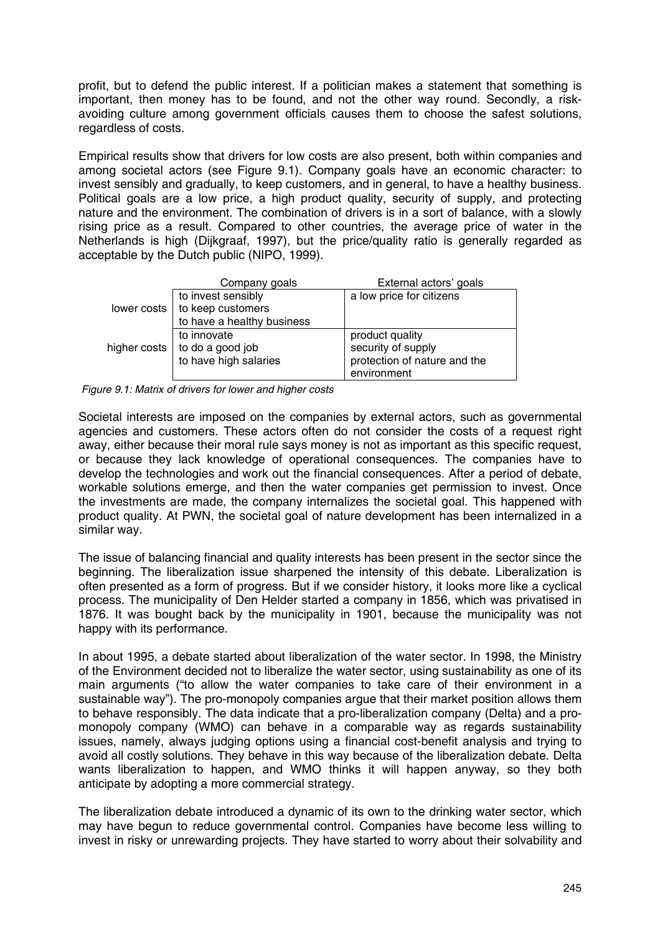profit, but to defend the public interest. If a politician makes a statement that something is important, then money has to be found, and not the other way round. Secondly, a riskavoiding culture among government officials causes them to choose the safest solutions, regardless of costs.

Empirical results show that drivers for low costs are also present, both within companies and among societal actors (see Figure 9.1). Company goals have an economic character: to invest sensibly and gradually, to keep customers, and in general, to have a healthy business. Political goals are a low price, a high product quality, security of supply, and protecting nature and the environment. The combination of drivers is in a sort of balance, with a slowly rising price as a result. Compared to other countries, the average price of water in the Netherlands is high (Dijkgraaf, 1997), but the price/quality ratio is generally regarded as acceptable by the Dutch public (NIPO, 1999).

| Company goals                                                                                          | External actors' goals       |
|--------------------------------------------------------------------------------------------------------|------------------------------|
| to invest sensibly                                                                                     | a low price for citizens     |
| lower costs   to keep customers                                                                        |                              |
| to have a healthy business                                                                             |                              |
| to innovate                                                                                            | product quality              |
| higher costs $\begin{vmatrix} 1 & 0 & 0 \\ 0 & 0 & 0 \\ 0 & 0 & 0 \end{vmatrix}$ to have high salaries | security of supply           |
|                                                                                                        | protection of nature and the |
|                                                                                                        | environment                  |

 *Figure 9.1: Matrix of drivers for lower and higher costs*

Societal interests are imposed on the companies by external actors, such as governmental agencies and customers. These actors often do not consider the costs of a request right away, either because their moral rule says money is not as important as this specific request, or because they lack knowledge of operational consequences. The companies have to develop the technologies and work out the financial consequences. After a period of debate, workable solutions emerge, and then the water companies get permission to invest. Once the investments are made, the company internalizes the societal goal. This happened with product quality. At PWN, the societal goal of nature development has been internalized in a similar way.

The issue of balancing financial and quality interests has been present in the sector since the beginning. The liberalization issue sharpened the intensity of this debate. Liberalization is often presented as a form of progress. But if we consider history, it looks more like a cyclical process. The municipality of Den Helder started a company in 1856, which was privatised in 1876. It was bought back by the municipality in 1901, because the municipality was not happy with its performance.

In about 1995, a debate started about liberalization of the water sector. In 1998, the Ministry of the Environment decided not to liberalize the water sector, using sustainability as one of its main arguments ("to allow the water companies to take care of their environment in a sustainable way"). The pro-monopoly companies argue that their market position allows them to behave responsibly. The data indicate that a pro-liberalization company (Delta) and a promonopoly company (WMO) can behave in a comparable way as regards sustainability issues, namely, always judging options using a financial cost-benefit analysis and trying to avoid all costly solutions. They behave in this way because of the liberalization debate. Delta wants liberalization to happen, and WMO thinks it will happen anyway, so they both anticipate by adopting a more commercial strategy.

The liberalization debate introduced a dynamic of its own to the drinking water sector, which may have begun to reduce governmental control. Companies have become less willing to invest in risky or unrewarding projects. They have started to worry about their solvability and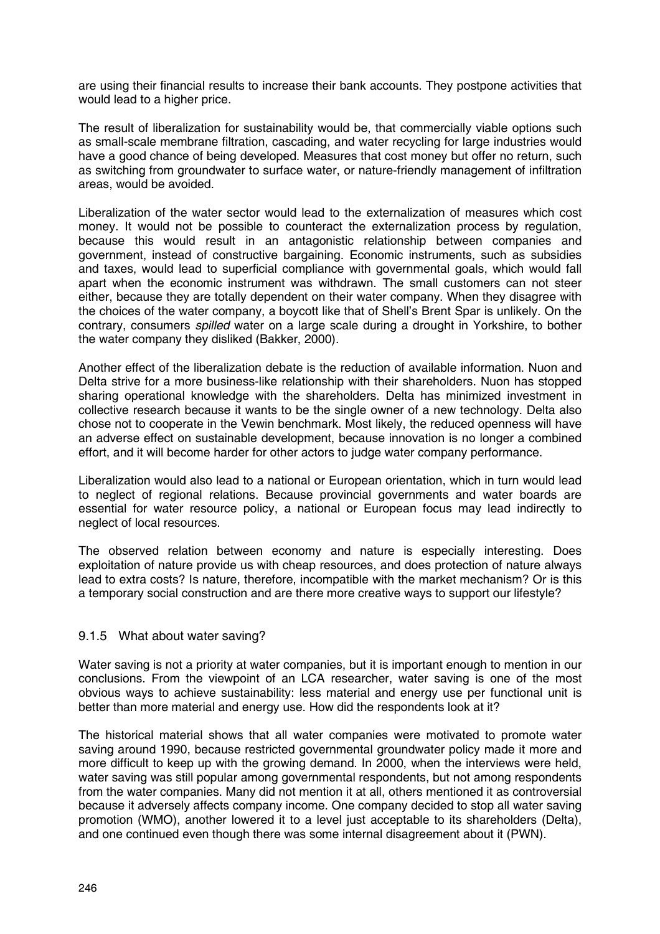are using their financial results to increase their bank accounts. They postpone activities that would lead to a higher price.

The result of liberalization for sustainability would be, that commercially viable options such as small-scale membrane filtration, cascading, and water recycling for large industries would have a good chance of being developed. Measures that cost money but offer no return, such as switching from groundwater to surface water, or nature-friendly management of infiltration areas, would be avoided.

Liberalization of the water sector would lead to the externalization of measures which cost money. It would not be possible to counteract the externalization process by regulation, because this would result in an antagonistic relationship between companies and government, instead of constructive bargaining. Economic instruments, such as subsidies and taxes, would lead to superficial compliance with governmental goals, which would fall apart when the economic instrument was withdrawn. The small customers can not steer either, because they are totally dependent on their water company. When they disagree with the choices of the water company, a boycott like that of Shell's Brent Spar is unlikely. On the contrary, consumers *spilled* water on a large scale during a drought in Yorkshire, to bother the water company they disliked (Bakker, 2000).

Another effect of the liberalization debate is the reduction of available information. Nuon and Delta strive for a more business-like relationship with their shareholders. Nuon has stopped sharing operational knowledge with the shareholders. Delta has minimized investment in collective research because it wants to be the single owner of a new technology. Delta also chose not to cooperate in the Vewin benchmark. Most likely, the reduced openness will have an adverse effect on sustainable development, because innovation is no longer a combined effort, and it will become harder for other actors to judge water company performance.

Liberalization would also lead to a national or European orientation, which in turn would lead to neglect of regional relations. Because provincial governments and water boards are essential for water resource policy, a national or European focus may lead indirectly to neglect of local resources.

The observed relation between economy and nature is especially interesting. Does exploitation of nature provide us with cheap resources, and does protection of nature always lead to extra costs? Is nature, therefore, incompatible with the market mechanism? Or is this a temporary social construction and are there more creative ways to support our lifestyle?

# 9.1.5 What about water saving?

Water saving is not a priority at water companies, but it is important enough to mention in our conclusions. From the viewpoint of an LCA researcher, water saving is one of the most obvious ways to achieve sustainability: less material and energy use per functional unit is better than more material and energy use. How did the respondents look at it?

The historical material shows that all water companies were motivated to promote water saving around 1990, because restricted governmental groundwater policy made it more and more difficult to keep up with the growing demand. In 2000, when the interviews were held, water saving was still popular among governmental respondents, but not among respondents from the water companies. Many did not mention it at all, others mentioned it as controversial because it adversely affects company income. One company decided to stop all water saving promotion (WMO), another lowered it to a level just acceptable to its shareholders (Delta), and one continued even though there was some internal disagreement about it (PWN).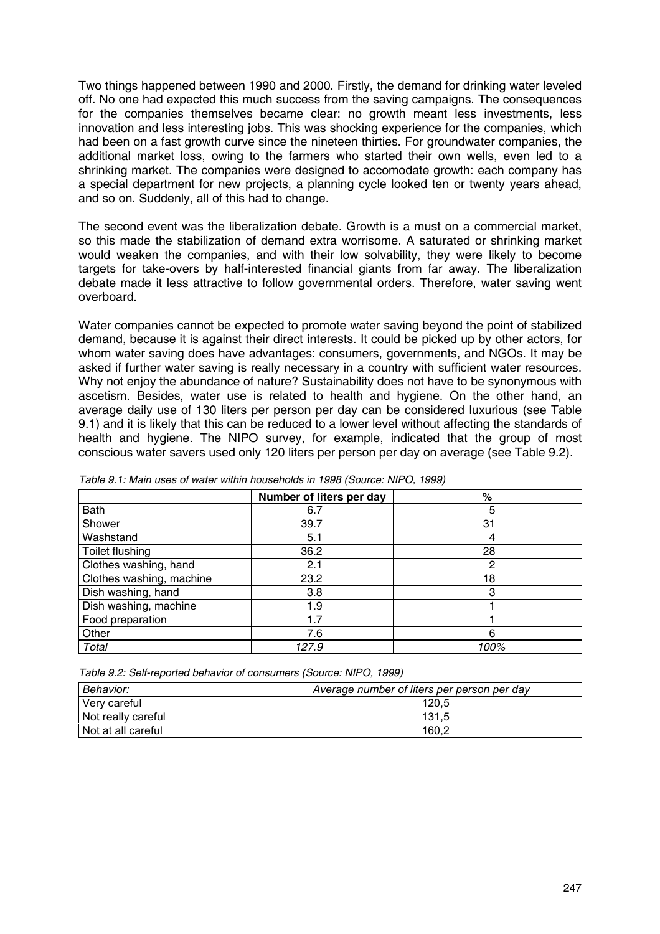Two things happened between 1990 and 2000. Firstly, the demand for drinking water leveled off. No one had expected this much success from the saving campaigns. The consequences for the companies themselves became clear: no growth meant less investments, less innovation and less interesting jobs. This was shocking experience for the companies, which had been on a fast growth curve since the nineteen thirties. For groundwater companies, the additional market loss, owing to the farmers who started their own wells, even led to a shrinking market. The companies were designed to accomodate growth: each company has a special department for new projects, a planning cycle looked ten or twenty years ahead, and so on. Suddenly, all of this had to change.

The second event was the liberalization debate. Growth is a must on a commercial market, so this made the stabilization of demand extra worrisome. A saturated or shrinking market would weaken the companies, and with their low solvability, they were likely to become targets for take-overs by half-interested financial giants from far away. The liberalization debate made it less attractive to follow governmental orders. Therefore, water saving went overboard.

Water companies cannot be expected to promote water saving beyond the point of stabilized demand, because it is against their direct interests. It could be picked up by other actors, for whom water saving does have advantages: consumers, governments, and NGOs. It may be asked if further water saving is really necessary in a country with sufficient water resources. Why not enjoy the abundance of nature? Sustainability does not have to be synonymous with ascetism. Besides, water use is related to health and hygiene. On the other hand, an average daily use of 130 liters per person per day can be considered luxurious (see Table 9.1) and it is likely that this can be reduced to a lower level without affecting the standards of health and hygiene. The NIPO survey, for example, indicated that the group of most conscious water savers used only 120 liters per person per day on average (see Table 9.2).

|                          | Number of liters per day | %    |
|--------------------------|--------------------------|------|
| Bath                     | 6.7                      | 5    |
| Shower                   | 39.7                     | 31   |
| Washstand                | 5.1                      | 4    |
| Toilet flushing          | 36.2                     | 28   |
| Clothes washing, hand    | 2.1                      | 2    |
| Clothes washing, machine | 23.2                     | 18   |
| Dish washing, hand       | 3.8                      | З    |
| Dish washing, machine    | 1.9                      |      |
| Food preparation         | 1.7                      |      |
| Other                    | 7.6                      | 6    |
| Total                    | 127.9                    | 100% |

*Table 9.1: Main uses of water within households in 1998 (Source: NIPO, 1999)*

| Table 9.2: Self-reported behavior of consumers (Source: NIPO, 1999) |  |  |
|---------------------------------------------------------------------|--|--|
|---------------------------------------------------------------------|--|--|

| Behavior:          | Average number of liters per person per day |
|--------------------|---------------------------------------------|
| Verv careful       | 120.5                                       |
| Not really careful | 131.5                                       |
| Not at all careful | 160.2                                       |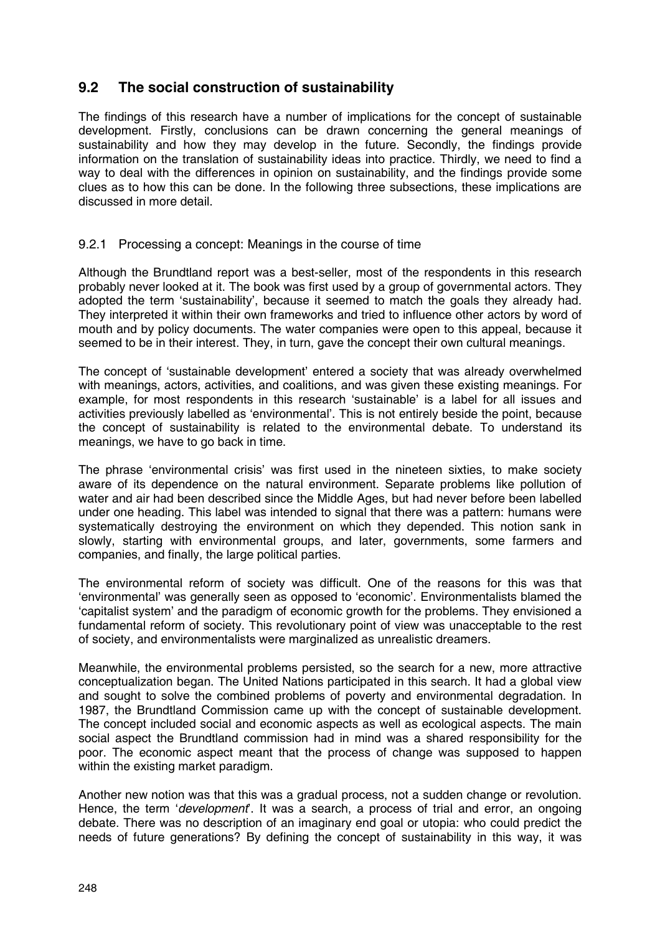# **9.2 The social construction of sustainability**

The findings of this research have a number of implications for the concept of sustainable development. Firstly, conclusions can be drawn concerning the general meanings of sustainability and how they may develop in the future. Secondly, the findings provide information on the translation of sustainability ideas into practice. Thirdly, we need to find a way to deal with the differences in opinion on sustainability, and the findings provide some clues as to how this can be done. In the following three subsections, these implications are discussed in more detail.

# 9.2.1 Processing a concept: Meanings in the course of time

Although the Brundtland report was a best-seller, most of the respondents in this research probably never looked at it. The book was first used by a group of governmental actors. They adopted the term 'sustainability', because it seemed to match the goals they already had. They interpreted it within their own frameworks and tried to influence other actors by word of mouth and by policy documents. The water companies were open to this appeal, because it seemed to be in their interest. They, in turn, gave the concept their own cultural meanings.

The concept of 'sustainable development' entered a society that was already overwhelmed with meanings, actors, activities, and coalitions, and was given these existing meanings. For example, for most respondents in this research 'sustainable' is a label for all issues and activities previously labelled as 'environmental'. This is not entirely beside the point, because the concept of sustainability is related to the environmental debate. To understand its meanings, we have to go back in time.

The phrase 'environmental crisis' was first used in the nineteen sixties, to make society aware of its dependence on the natural environment. Separate problems like pollution of water and air had been described since the Middle Ages, but had never before been labelled under one heading. This label was intended to signal that there was a pattern: humans were systematically destroying the environment on which they depended. This notion sank in slowly, starting with environmental groups, and later, governments, some farmers and companies, and finally, the large political parties.

The environmental reform of society was difficult. One of the reasons for this was that 'environmental' was generally seen as opposed to 'economic'. Environmentalists blamed the 'capitalist system' and the paradigm of economic growth for the problems. They envisioned a fundamental reform of society. This revolutionary point of view was unacceptable to the rest of society, and environmentalists were marginalized as unrealistic dreamers.

Meanwhile, the environmental problems persisted, so the search for a new, more attractive conceptualization began. The United Nations participated in this search. It had a global view and sought to solve the combined problems of poverty and environmental degradation. In 1987, the Brundtland Commission came up with the concept of sustainable development. The concept included social and economic aspects as well as ecological aspects. The main social aspect the Brundtland commission had in mind was a shared responsibility for the poor. The economic aspect meant that the process of change was supposed to happen within the existing market paradigm.

Another new notion was that this was a gradual process, not a sudden change or revolution. Hence, the term '*development*'. It was a search, a process of trial and error, an ongoing debate. There was no description of an imaginary end goal or utopia: who could predict the needs of future generations? By defining the concept of sustainability in this way, it was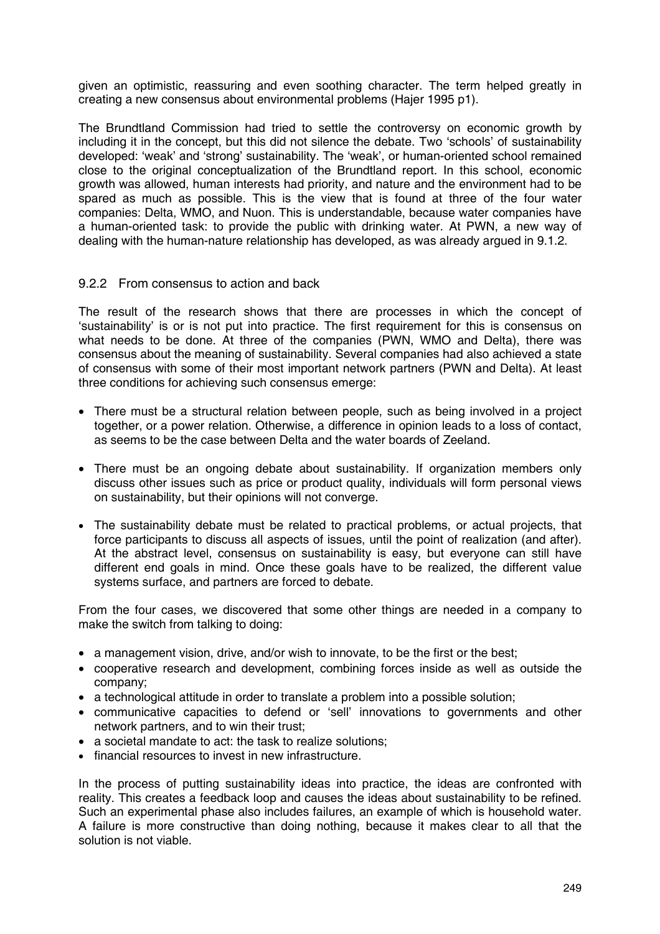given an optimistic, reassuring and even soothing character. The term helped greatly in creating a new consensus about environmental problems (Hajer 1995 p1).

The Brundtland Commission had tried to settle the controversy on economic growth by including it in the concept, but this did not silence the debate. Two 'schools' of sustainability developed: 'weak' and 'strong' sustainability. The 'weak', or human-oriented school remained close to the original conceptualization of the Brundtland report. In this school, economic growth was allowed, human interests had priority, and nature and the environment had to be spared as much as possible. This is the view that is found at three of the four water companies: Delta, WMO, and Nuon. This is understandable, because water companies have a human-oriented task: to provide the public with drinking water. At PWN, a new way of dealing with the human-nature relationship has developed, as was already argued in 9.1.2.

## 9.2.2 From consensus to action and back

The result of the research shows that there are processes in which the concept of 'sustainability' is or is not put into practice. The first requirement for this is consensus on what needs to be done. At three of the companies (PWN, WMO and Delta), there was consensus about the meaning of sustainability. Several companies had also achieved a state of consensus with some of their most important network partners (PWN and Delta). At least three conditions for achieving such consensus emerge:

- There must be a structural relation between people, such as being involved in a project together, or a power relation. Otherwise, a difference in opinion leads to a loss of contact, as seems to be the case between Delta and the water boards of Zeeland.
- There must be an ongoing debate about sustainability. If organization members only discuss other issues such as price or product quality, individuals will form personal views on sustainability, but their opinions will not converge.
- The sustainability debate must be related to practical problems, or actual projects, that force participants to discuss all aspects of issues, until the point of realization (and after). At the abstract level, consensus on sustainability is easy, but everyone can still have different end goals in mind. Once these goals have to be realized, the different value systems surface, and partners are forced to debate.

From the four cases, we discovered that some other things are needed in a company to make the switch from talking to doing:

- a management vision, drive, and/or wish to innovate, to be the first or the best;
- cooperative research and development, combining forces inside as well as outside the company;
- a technological attitude in order to translate a problem into a possible solution;
- communicative capacities to defend or 'sell' innovations to governments and other network partners, and to win their trust;
- a societal mandate to act: the task to realize solutions;
- financial resources to invest in new infrastructure.

In the process of putting sustainability ideas into practice, the ideas are confronted with reality. This creates a feedback loop and causes the ideas about sustainability to be refined. Such an experimental phase also includes failures, an example of which is household water. A failure is more constructive than doing nothing, because it makes clear to all that the solution is not viable.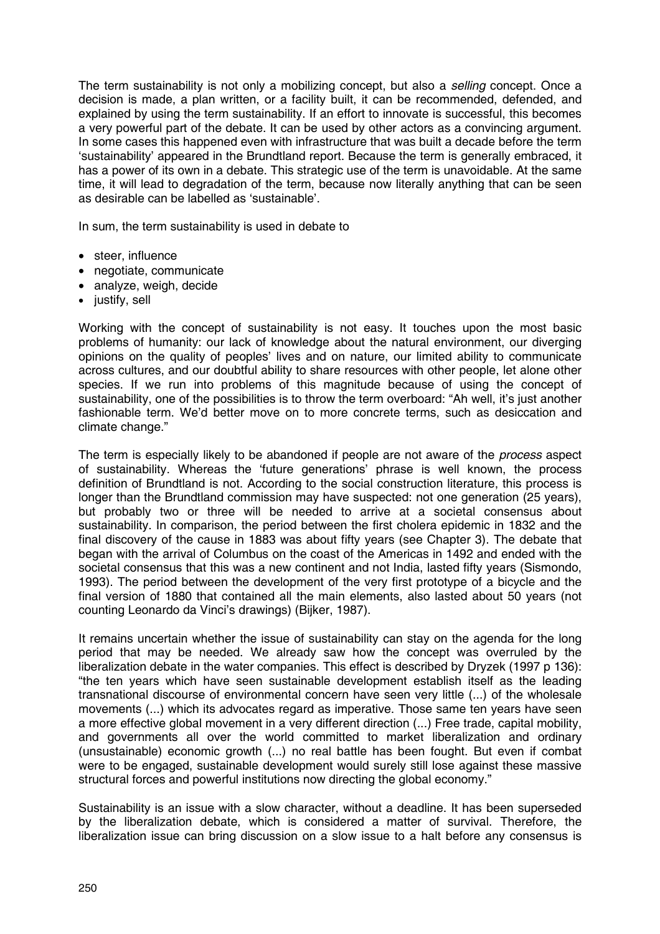The term sustainability is not only a mobilizing concept, but also a *selling* concept. Once a decision is made, a plan written, or a facility built, it can be recommended, defended, and explained by using the term sustainability. If an effort to innovate is successful, this becomes a very powerful part of the debate. It can be used by other actors as a convincing argument. In some cases this happened even with infrastructure that was built a decade before the term 'sustainability' appeared in the Brundtland report. Because the term is generally embraced, it has a power of its own in a debate. This strategic use of the term is unavoidable. At the same time, it will lead to degradation of the term, because now literally anything that can be seen as desirable can be labelled as 'sustainable'.

In sum, the term sustainability is used in debate to

- steer, influence
- negotiate, communicate
- analyze, weigh, decide
- justify, sell

Working with the concept of sustainability is not easy. It touches upon the most basic problems of humanity: our lack of knowledge about the natural environment, our diverging opinions on the quality of peoples' lives and on nature, our limited ability to communicate across cultures, and our doubtful ability to share resources with other people, let alone other species. If we run into problems of this magnitude because of using the concept of sustainability, one of the possibilities is to throw the term overboard: "Ah well, it's just another fashionable term. We'd better move on to more concrete terms, such as desiccation and climate change."

The term is especially likely to be abandoned if people are not aware of the *process* aspect of sustainability. Whereas the 'future generations' phrase is well known, the process definition of Brundtland is not. According to the social construction literature, this process is longer than the Brundtland commission may have suspected: not one generation (25 years), but probably two or three will be needed to arrive at a societal consensus about sustainability. In comparison, the period between the first cholera epidemic in 1832 and the final discovery of the cause in 1883 was about fifty years (see Chapter 3). The debate that began with the arrival of Columbus on the coast of the Americas in 1492 and ended with the societal consensus that this was a new continent and not India, lasted fifty years (Sismondo, 1993). The period between the development of the very first prototype of a bicycle and the final version of 1880 that contained all the main elements, also lasted about 50 years (not counting Leonardo da Vinci's drawings) (Bijker, 1987).

It remains uncertain whether the issue of sustainability can stay on the agenda for the long period that may be needed. We already saw how the concept was overruled by the liberalization debate in the water companies. This effect is described by Dryzek (1997 p 136): "the ten years which have seen sustainable development establish itself as the leading transnational discourse of environmental concern have seen very little (...) of the wholesale movements (...) which its advocates regard as imperative. Those same ten years have seen a more effective global movement in a very different direction (...) Free trade, capital mobility, and governments all over the world committed to market liberalization and ordinary (unsustainable) economic growth (...) no real battle has been fought. But even if combat were to be engaged, sustainable development would surely still lose against these massive structural forces and powerful institutions now directing the global economy."

Sustainability is an issue with a slow character, without a deadline. It has been superseded by the liberalization debate, which is considered a matter of survival. Therefore, the liberalization issue can bring discussion on a slow issue to a halt before any consensus is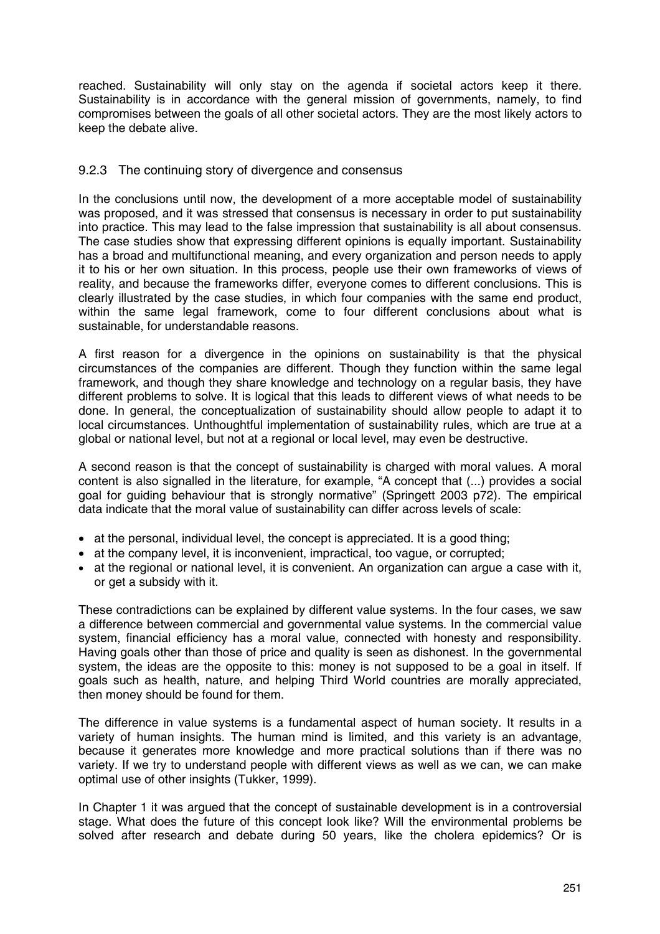reached. Sustainability will only stay on the agenda if societal actors keep it there. Sustainability is in accordance with the general mission of governments, namely, to find compromises between the goals of all other societal actors. They are the most likely actors to keep the debate alive.

## 9.2.3 The continuing story of divergence and consensus

In the conclusions until now, the development of a more acceptable model of sustainability was proposed, and it was stressed that consensus is necessary in order to put sustainability into practice. This may lead to the false impression that sustainability is all about consensus. The case studies show that expressing different opinions is equally important. Sustainability has a broad and multifunctional meaning, and every organization and person needs to apply it to his or her own situation. In this process, people use their own frameworks of views of reality, and because the frameworks differ, everyone comes to different conclusions. This is clearly illustrated by the case studies, in which four companies with the same end product, within the same legal framework, come to four different conclusions about what is sustainable, for understandable reasons.

A first reason for a divergence in the opinions on sustainability is that the physical circumstances of the companies are different. Though they function within the same legal framework, and though they share knowledge and technology on a regular basis, they have different problems to solve. It is logical that this leads to different views of what needs to be done. In general, the conceptualization of sustainability should allow people to adapt it to local circumstances. Unthoughtful implementation of sustainability rules, which are true at a global or national level, but not at a regional or local level, may even be destructive.

A second reason is that the concept of sustainability is charged with moral values. A moral content is also signalled in the literature, for example, "A concept that (...) provides a social goal for guiding behaviour that is strongly normative" (Springett 2003 p72). The empirical data indicate that the moral value of sustainability can differ across levels of scale:

- at the personal, individual level, the concept is appreciated. It is a good thing;
- at the company level, it is inconvenient, impractical, too vague, or corrupted;
- at the regional or national level, it is convenient. An organization can argue a case with it, or get a subsidy with it.

These contradictions can be explained by different value systems. In the four cases, we saw a difference between commercial and governmental value systems. In the commercial value system, financial efficiency has a moral value, connected with honesty and responsibility. Having goals other than those of price and quality is seen as dishonest. In the governmental system, the ideas are the opposite to this: money is not supposed to be a goal in itself. If goals such as health, nature, and helping Third World countries are morally appreciated, then money should be found for them.

The difference in value systems is a fundamental aspect of human society. It results in a variety of human insights. The human mind is limited, and this variety is an advantage, because it generates more knowledge and more practical solutions than if there was no variety. If we try to understand people with different views as well as we can, we can make optimal use of other insights (Tukker, 1999).

In Chapter 1 it was argued that the concept of sustainable development is in a controversial stage. What does the future of this concept look like? Will the environmental problems be solved after research and debate during 50 years, like the cholera epidemics? Or is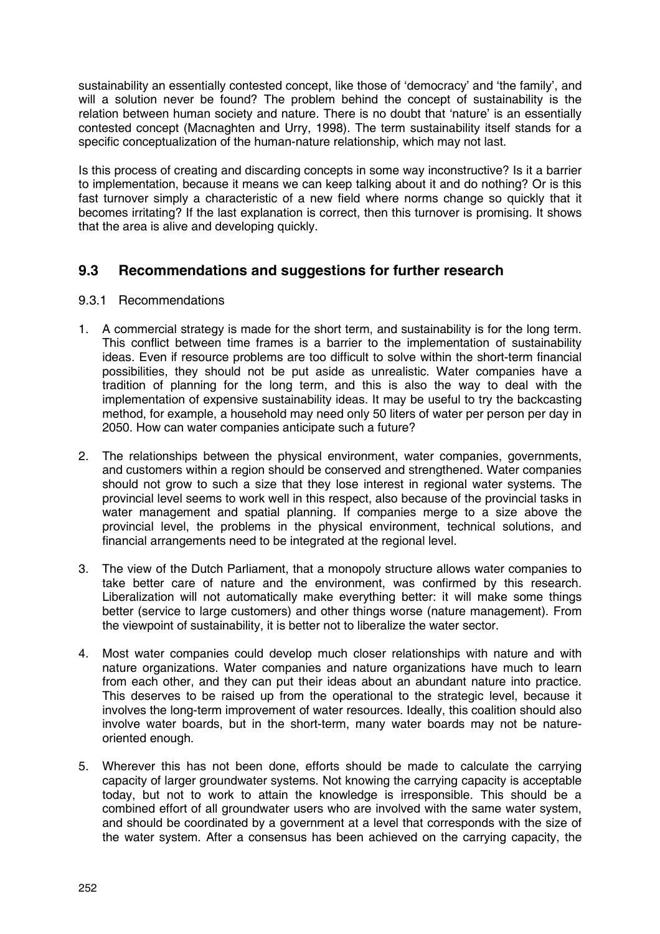sustainability an essentially contested concept, like those of 'democracy' and 'the family', and will a solution never be found? The problem behind the concept of sustainability is the relation between human society and nature. There is no doubt that 'nature' is an essentially contested concept (Macnaghten and Urry, 1998). The term sustainability itself stands for a specific conceptualization of the human-nature relationship, which may not last.

Is this process of creating and discarding concepts in some way inconstructive? Is it a barrier to implementation, because it means we can keep talking about it and do nothing? Or is this fast turnover simply a characteristic of a new field where norms change so quickly that it becomes irritating? If the last explanation is correct, then this turnover is promising. It shows that the area is alive and developing quickly.

# **9.3 Recommendations and suggestions for further research**

# 9.3.1 Recommendations

- 1. A commercial strategy is made for the short term, and sustainability is for the long term. This conflict between time frames is a barrier to the implementation of sustainability ideas. Even if resource problems are too difficult to solve within the short-term financial possibilities, they should not be put aside as unrealistic. Water companies have a tradition of planning for the long term, and this is also the way to deal with the implementation of expensive sustainability ideas. It may be useful to try the backcasting method, for example, a household may need only 50 liters of water per person per day in 2050. How can water companies anticipate such a future?
- 2. The relationships between the physical environment, water companies, governments, and customers within a region should be conserved and strengthened. Water companies should not grow to such a size that they lose interest in regional water systems. The provincial level seems to work well in this respect, also because of the provincial tasks in water management and spatial planning. If companies merge to a size above the provincial level, the problems in the physical environment, technical solutions, and financial arrangements need to be integrated at the regional level.
- 3. The view of the Dutch Parliament, that a monopoly structure allows water companies to take better care of nature and the environment, was confirmed by this research. Liberalization will not automatically make everything better: it will make some things better (service to large customers) and other things worse (nature management). From the viewpoint of sustainability, it is better not to liberalize the water sector.
- 4. Most water companies could develop much closer relationships with nature and with nature organizations. Water companies and nature organizations have much to learn from each other, and they can put their ideas about an abundant nature into practice. This deserves to be raised up from the operational to the strategic level, because it involves the long-term improvement of water resources. Ideally, this coalition should also involve water boards, but in the short-term, many water boards may not be natureoriented enough.
- 5. Wherever this has not been done, efforts should be made to calculate the carrying capacity of larger groundwater systems. Not knowing the carrying capacity is acceptable today, but not to work to attain the knowledge is irresponsible. This should be a combined effort of all groundwater users who are involved with the same water system, and should be coordinated by a government at a level that corresponds with the size of the water system. After a consensus has been achieved on the carrying capacity, the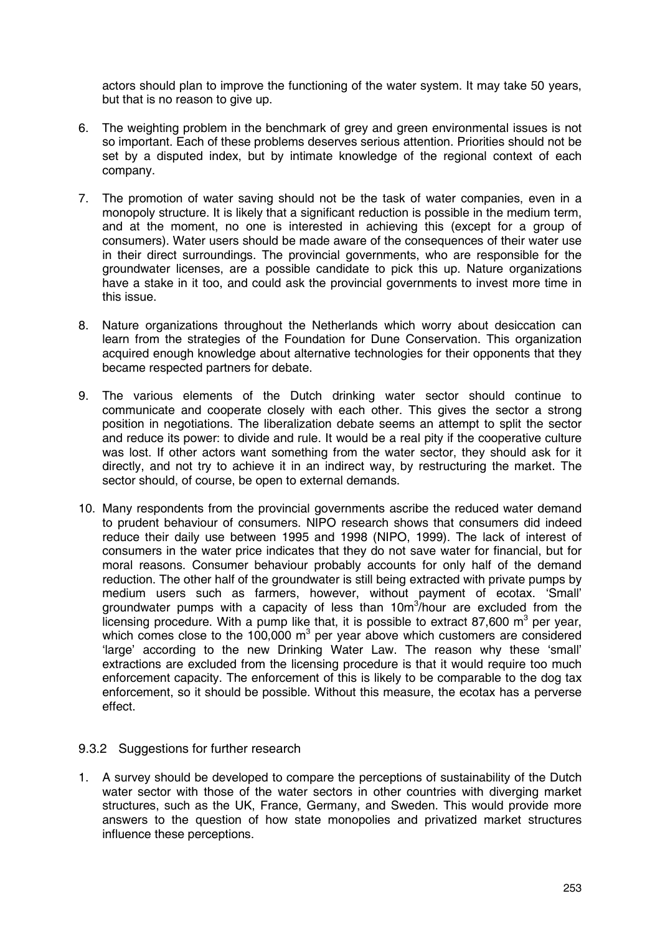actors should plan to improve the functioning of the water system. It may take 50 years, but that is no reason to give up.

- 6. The weighting problem in the benchmark of grey and green environmental issues is not so important. Each of these problems deserves serious attention. Priorities should not be set by a disputed index, but by intimate knowledge of the regional context of each company.
- 7. The promotion of water saving should not be the task of water companies, even in a monopoly structure. It is likely that a significant reduction is possible in the medium term, and at the moment, no one is interested in achieving this (except for a group of consumers). Water users should be made aware of the consequences of their water use in their direct surroundings. The provincial governments, who are responsible for the groundwater licenses, are a possible candidate to pick this up. Nature organizations have a stake in it too, and could ask the provincial governments to invest more time in this issue.
- 8. Nature organizations throughout the Netherlands which worry about desiccation can learn from the strategies of the Foundation for Dune Conservation. This organization acquired enough knowledge about alternative technologies for their opponents that they became respected partners for debate.
- 9. The various elements of the Dutch drinking water sector should continue to communicate and cooperate closely with each other. This gives the sector a strong position in negotiations. The liberalization debate seems an attempt to split the sector and reduce its power: to divide and rule. It would be a real pity if the cooperative culture was lost. If other actors want something from the water sector, they should ask for it directly, and not try to achieve it in an indirect way, by restructuring the market. The sector should, of course, be open to external demands.
- 10. Many respondents from the provincial governments ascribe the reduced water demand to prudent behaviour of consumers. NIPO research shows that consumers did indeed reduce their daily use between 1995 and 1998 (NIPO, 1999). The lack of interest of consumers in the water price indicates that they do not save water for financial, but for moral reasons. Consumer behaviour probably accounts for only half of the demand reduction. The other half of the groundwater is still being extracted with private pumps by medium users such as farmers, however, without payment of ecotax. 'Small' groundwater pumps with a capacity of less than 10m<sup>3</sup>/hour are excluded from the licensing procedure. With a pump like that, it is possible to extract 87,600  $m^3$  per year, which comes close to the 100,000  $m^3$  per year above which customers are considered 'large' according to the new Drinking Water Law. The reason why these 'small' extractions are excluded from the licensing procedure is that it would require too much enforcement capacity. The enforcement of this is likely to be comparable to the dog tax enforcement, so it should be possible. Without this measure, the ecotax has a perverse effect.

## 9.3.2 Suggestions for further research

1. A survey should be developed to compare the perceptions of sustainability of the Dutch water sector with those of the water sectors in other countries with diverging market structures, such as the UK, France, Germany, and Sweden. This would provide more answers to the question of how state monopolies and privatized market structures influence these perceptions.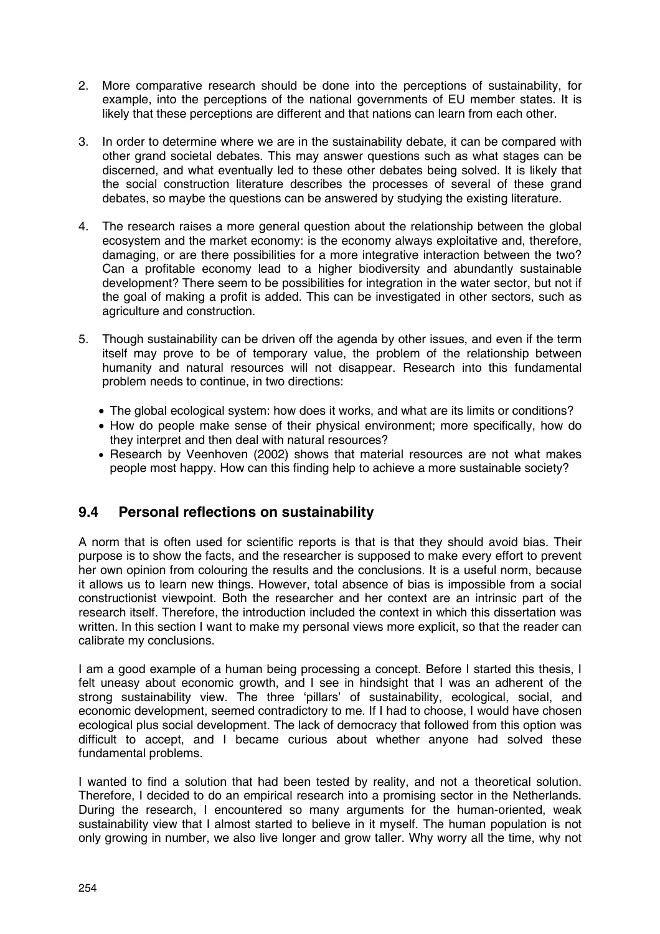- 2. More comparative research should be done into the perceptions of sustainability, for example, into the perceptions of the national governments of EU member states. It is likely that these perceptions are different and that nations can learn from each other.
- 3. In order to determine where we are in the sustainability debate, it can be compared with other grand societal debates. This may answer questions such as what stages can be discerned, and what eventually led to these other debates being solved. It is likely that the social construction literature describes the processes of several of these grand debates, so maybe the questions can be answered by studying the existing literature.
- 4. The research raises a more general question about the relationship between the global ecosystem and the market economy: is the economy always exploitative and, therefore, damaging, or are there possibilities for a more integrative interaction between the two? Can a profitable economy lead to a higher biodiversity and abundantly sustainable development? There seem to be possibilities for integration in the water sector, but not if the goal of making a profit is added. This can be investigated in other sectors, such as agriculture and construction.
- 5. Though sustainability can be driven off the agenda by other issues, and even if the term itself may prove to be of temporary value, the problem of the relationship between humanity and natural resources will not disappear. Research into this fundamental problem needs to continue, in two directions:
	- The global ecological system: how does it works, and what are its limits or conditions?
	- How do people make sense of their physical environment; more specifically, how do they interpret and then deal with natural resources?
	- Research by Veenhoven (2002) shows that material resources are not what makes people most happy. How can this finding help to achieve a more sustainable society?

# **9.4 Personal reflections on sustainability**

A norm that is often used for scientific reports is that is that they should avoid bias. Their purpose is to show the facts, and the researcher is supposed to make every effort to prevent her own opinion from colouring the results and the conclusions. It is a useful norm, because it allows us to learn new things. However, total absence of bias is impossible from a social constructionist viewpoint. Both the researcher and her context are an intrinsic part of the research itself. Therefore, the introduction included the context in which this dissertation was written. In this section I want to make my personal views more explicit, so that the reader can calibrate my conclusions.

I am a good example of a human being processing a concept. Before I started this thesis, I felt uneasy about economic growth, and I see in hindsight that I was an adherent of the strong sustainability view. The three 'pillars' of sustainability, ecological, social, and economic development, seemed contradictory to me. If I had to choose, I would have chosen ecological plus social development. The lack of democracy that followed from this option was difficult to accept, and I became curious about whether anyone had solved these fundamental problems.

I wanted to find a solution that had been tested by reality, and not a theoretical solution. Therefore, I decided to do an empirical research into a promising sector in the Netherlands. During the research, I encountered so many arguments for the human-oriented, weak sustainability view that I almost started to believe in it myself. The human population is not only growing in number, we also live longer and grow taller. Why worry all the time, why not